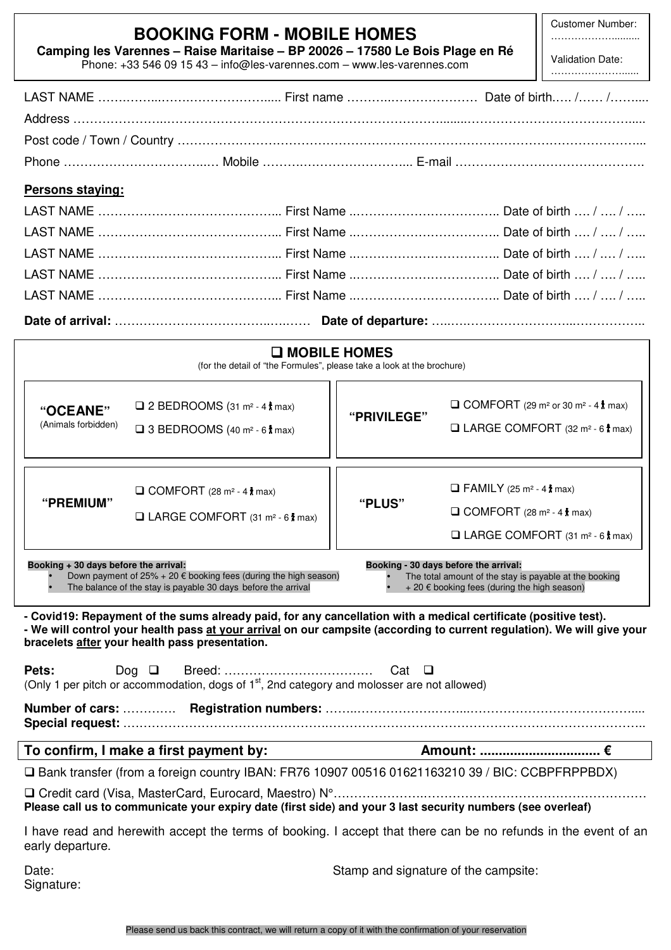| Camping les Varennes - Raise Maritaise - BP 20026 - 17580 Le Bois Plage en Ré<br>Phone: +33 546 09 15 43 - info@les-varennes.com - www.les-varennes.com                                                                                                                                                                                     | Customer Number.<br>Validation Date:                                                              |             |                                                          |                                                                            |  |  |  |
|---------------------------------------------------------------------------------------------------------------------------------------------------------------------------------------------------------------------------------------------------------------------------------------------------------------------------------------------|---------------------------------------------------------------------------------------------------|-------------|----------------------------------------------------------|----------------------------------------------------------------------------|--|--|--|
|                                                                                                                                                                                                                                                                                                                                             |                                                                                                   |             |                                                          |                                                                            |  |  |  |
|                                                                                                                                                                                                                                                                                                                                             |                                                                                                   |             |                                                          |                                                                            |  |  |  |
|                                                                                                                                                                                                                                                                                                                                             |                                                                                                   |             |                                                          |                                                                            |  |  |  |
|                                                                                                                                                                                                                                                                                                                                             |                                                                                                   |             |                                                          |                                                                            |  |  |  |
| Persons staying:                                                                                                                                                                                                                                                                                                                            |                                                                                                   |             |                                                          |                                                                            |  |  |  |
|                                                                                                                                                                                                                                                                                                                                             |                                                                                                   |             |                                                          |                                                                            |  |  |  |
|                                                                                                                                                                                                                                                                                                                                             |                                                                                                   |             |                                                          |                                                                            |  |  |  |
|                                                                                                                                                                                                                                                                                                                                             |                                                                                                   |             |                                                          |                                                                            |  |  |  |
|                                                                                                                                                                                                                                                                                                                                             |                                                                                                   |             |                                                          |                                                                            |  |  |  |
|                                                                                                                                                                                                                                                                                                                                             |                                                                                                   |             |                                                          |                                                                            |  |  |  |
|                                                                                                                                                                                                                                                                                                                                             |                                                                                                   |             |                                                          |                                                                            |  |  |  |
| <b>O MOBILE HOMES</b>                                                                                                                                                                                                                                                                                                                       |                                                                                                   |             |                                                          |                                                                            |  |  |  |
|                                                                                                                                                                                                                                                                                                                                             | (for the detail of "the Formules", please take a look at the brochure)                            |             |                                                          |                                                                            |  |  |  |
|                                                                                                                                                                                                                                                                                                                                             | □ 2 BEDROOMS (31 m <sup>2</sup> - 4 $\frac{1}{3}$ max)                                            | "PRIVILEGE" |                                                          | $\Box$ COMFORT (29 m <sup>2</sup> or 30 m <sup>2</sup> - 4 $\uparrow$ max) |  |  |  |
| "OCEANE"<br>(Animals forbidden)                                                                                                                                                                                                                                                                                                             |                                                                                                   |             |                                                          | □ LARGE COMFORT (32 m <sup>2</sup> - 6 t max)                              |  |  |  |
|                                                                                                                                                                                                                                                                                                                                             | $\Box$ 3 BEDROOMS (40 m <sup>2</sup> - 6 $\hbar$ max)                                             |             |                                                          |                                                                            |  |  |  |
|                                                                                                                                                                                                                                                                                                                                             | $\Box$ COMFORT (28 m <sup>2</sup> - 4 $\hbar$ max)<br>□ LARGE COMFORT (31 m <sup>2</sup> - 6 max) | "PLUS"      |                                                          |                                                                            |  |  |  |
|                                                                                                                                                                                                                                                                                                                                             |                                                                                                   |             | $\Box$ FAMILY (25 m <sup>2</sup> - 4 $\hbar$ max)        |                                                                            |  |  |  |
| "PREMIUM"                                                                                                                                                                                                                                                                                                                                   |                                                                                                   |             | $\Box$ COMFORT (28 m <sup>2</sup> - 4 $\frac{1}{3}$ max) |                                                                            |  |  |  |
|                                                                                                                                                                                                                                                                                                                                             |                                                                                                   |             |                                                          | □ LARGE COMFORT (31 m <sup>2</sup> - 6 t max)                              |  |  |  |
| Booking + 30 days before the arrival:<br>Booking - 30 days before the arrival:<br>Down payment of $25\% + 20 \notin$ booking fees (during the high season)<br>The total amount of the stay is payable at the booking<br>The balance of the stay is payable 30 days before the arrival<br>$+20 \notin$ booking fees (during the high season) |                                                                                                   |             |                                                          |                                                                            |  |  |  |
| - Covid19: Repayment of the sums already paid, for any cancellation with a medical certificate (positive test).<br>- We will control your health pass at your arrival on our campsite (according to current regulation). We will give your<br>bracelets after your health pass presentation.                                                |                                                                                                   |             |                                                          |                                                                            |  |  |  |
| Pets:<br>Dog $\Box$<br>Cat $\Box$<br>(Only 1 per pitch or accommodation, dogs of 1 <sup>st</sup> , 2nd category and molosser are not allowed)                                                                                                                                                                                               |                                                                                                   |             |                                                          |                                                                            |  |  |  |
|                                                                                                                                                                                                                                                                                                                                             |                                                                                                   |             |                                                          |                                                                            |  |  |  |
|                                                                                                                                                                                                                                                                                                                                             | To confirm, I make a first payment by:                                                            | Amount: €   |                                                          |                                                                            |  |  |  |
| □ Bank transfer (from a foreign country IBAN: FR76 10907 00516 01621163210 39 / BIC: CCBPFRPPBDX)                                                                                                                                                                                                                                           |                                                                                                   |             |                                                          |                                                                            |  |  |  |
| Please call us to communicate your expiry date (first side) and your 3 last security numbers (see overleaf)                                                                                                                                                                                                                                 |                                                                                                   |             |                                                          |                                                                            |  |  |  |
| I have read and herewith accept the terms of booking. I accept that there can be no refunds in the event of an<br>early departure.                                                                                                                                                                                                          |                                                                                                   |             |                                                          |                                                                            |  |  |  |
| Stamp and signature of the campsite:<br>Date:<br>Signature:                                                                                                                                                                                                                                                                                 |                                                                                                   |             |                                                          |                                                                            |  |  |  |

Customer Number: ………………..........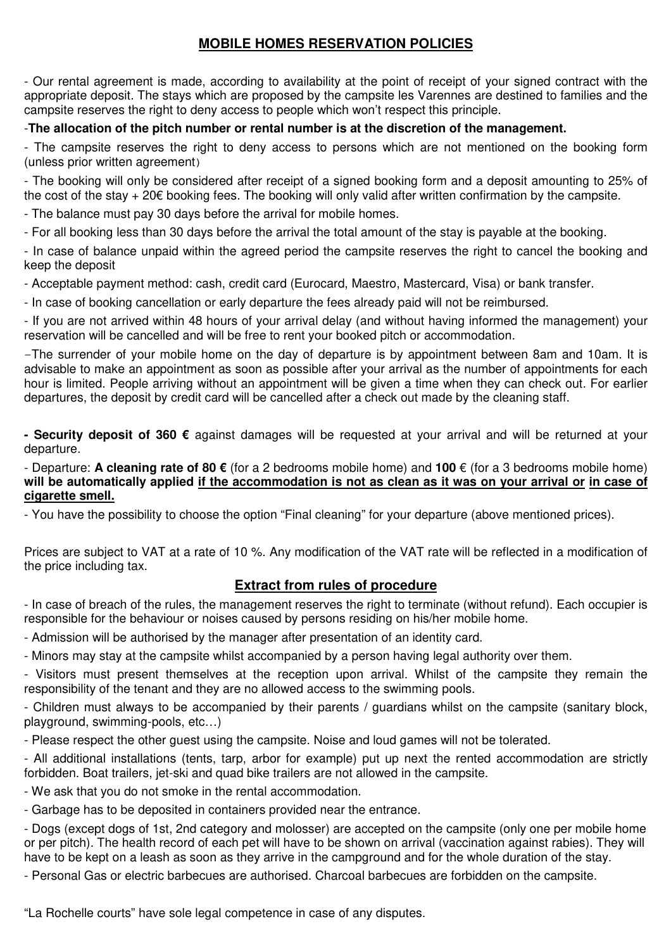## **MOBILE HOMES RESERVATION POLICIES**

- Our rental agreement is made, according to availability at the point of receipt of your signed contract with the appropriate deposit. The stays which are proposed by the campsite les Varennes are destined to families and the campsite reserves the right to deny access to people which won't respect this principle.

### -**The allocation of the pitch number or rental number is at the discretion of the management.**

- The campsite reserves the right to deny access to persons which are not mentioned on the booking form (unless prior written agreement)

- The booking will only be considered after receipt of a signed booking form and a deposit amounting to 25% of the cost of the stay + 20€ booking fees. The booking will only valid after written confirmation by the campsite.

- The balance must pay 30 days before the arrival for mobile homes.

- For all booking less than 30 days before the arrival the total amount of the stay is payable at the booking.

- In case of balance unpaid within the agreed period the campsite reserves the right to cancel the booking and keep the deposit

- Acceptable payment method: cash, credit card (Eurocard, Maestro, Mastercard, Visa) or bank transfer.

- In case of booking cancellation or early departure the fees already paid will not be reimbursed.

- If you are not arrived within 48 hours of your arrival delay (and without having informed the management) your reservation will be cancelled and will be free to rent your booked pitch or accommodation.

-The surrender of your mobile home on the day of departure is by appointment between 8am and 10am. It is advisable to make an appointment as soon as possible after your arrival as the number of appointments for each hour is limited. People arriving without an appointment will be given a time when they can check out. For earlier departures, the deposit by credit card will be cancelled after a check out made by the cleaning staff.

**- Security deposit of 360 €** against damages will be requested at your arrival and will be returned at your departure.

### - Departure: **A cleaning rate of 80 €** (for a 2 bedrooms mobile home) and **100** € (for a 3 bedrooms mobile home) **will be automatically applied if the accommodation is not as clean as it was on your arrival or in case of cigarette smell.**

- You have the possibility to choose the option "Final cleaning" for your departure (above mentioned prices).

Prices are subject to VAT at a rate of 10 %. Any modification of the VAT rate will be reflected in a modification of the price including tax.

### **Extract from rules of procedure**

- In case of breach of the rules, the management reserves the right to terminate (without refund). Each occupier is responsible for the behaviour or noises caused by persons residing on his/her mobile home.

- Admission will be authorised by the manager after presentation of an identity card.

- Minors may stay at the campsite whilst accompanied by a person having legal authority over them.

- Visitors must present themselves at the reception upon arrival. Whilst of the campsite they remain the responsibility of the tenant and they are no allowed access to the swimming pools.

- Children must always to be accompanied by their parents / guardians whilst on the campsite (sanitary block, playground, swimming-pools, etc…)

- Please respect the other guest using the campsite. Noise and loud games will not be tolerated.

- All additional installations (tents, tarp, arbor for example) put up next the rented accommodation are strictly forbidden. Boat trailers, jet-ski and quad bike trailers are not allowed in the campsite.

- We ask that you do not smoke in the rental accommodation.

- Garbage has to be deposited in containers provided near the entrance.

- Dogs (except dogs of 1st, 2nd category and molosser) are accepted on the campsite (only one per mobile home or per pitch). The health record of each pet will have to be shown on arrival (vaccination against rabies). They will have to be kept on a leash as soon as they arrive in the campground and for the whole duration of the stay.

- Personal Gas or electric barbecues are authorised. Charcoal barbecues are forbidden on the campsite.

"La Rochelle courts" have sole legal competence in case of any disputes.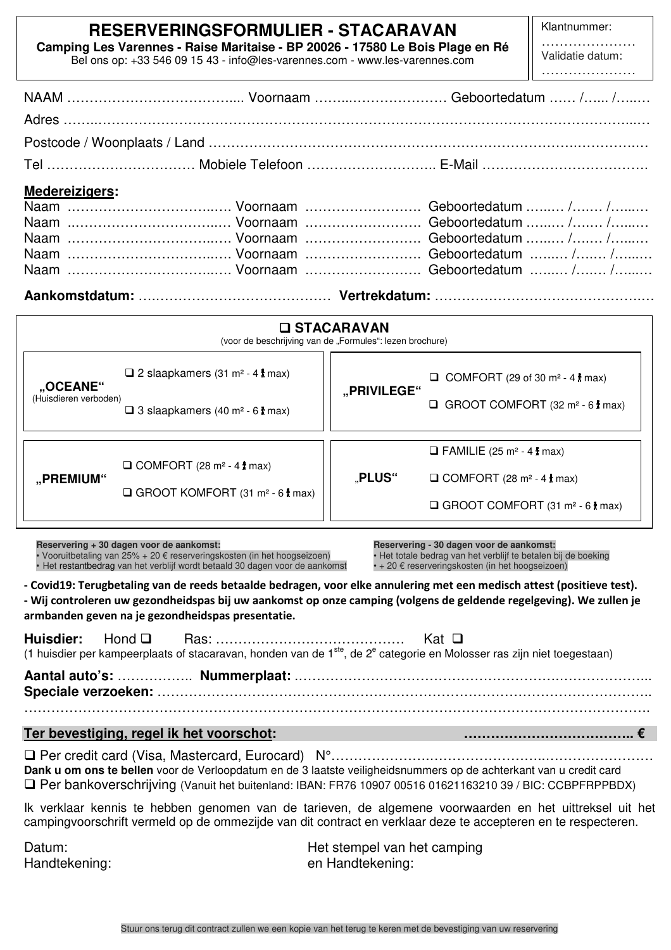# **RESERVERINGSFORMULIER - STACARAVAN**

**Camping Les Varennes - Raise Maritaise - BP 20026 - 17580 Le Bois Plage en Ré**  Bel ons op: +33 546 09 15 43 - info@les-varennes.com - www.les-varennes.com

Klantnummer:

| Validatie datum: |  |  |  |  |
|------------------|--|--|--|--|
|                  |  |  |  |  |

| <b>Medereizigers:</b>                                    |  |  |  |  |  |
|----------------------------------------------------------|--|--|--|--|--|
|                                                          |  |  |  |  |  |
|                                                          |  |  |  |  |  |
|                                                          |  |  |  |  |  |
|                                                          |  |  |  |  |  |
|                                                          |  |  |  |  |  |
|                                                          |  |  |  |  |  |
| <b>O STACARAVAN</b>                                      |  |  |  |  |  |
| (voor de beschrijving van de "Formules": lezen brochure) |  |  |  |  |  |
|                                                          |  |  |  |  |  |

 **"PRIVILEGE"** 

**Reservering + 30 dagen voor de aankomst:** 

• Vooruitbetaling van 25% + 20 € reserveringskosten (in het hoogseizoen) • Het restantbedrag van het verblijf wordt betaald 30 dagen voor de aankomst

 $\Box$  2 slaapkamers (31 m<sup>2</sup> - 4  $\uparrow$  max)

 $\Box$  3 slaapkamers (40 m<sup>2</sup> - 6  $\dagger$  max)

 $\Box$  COMFORT (28 m<sup>2</sup> - 4  $\frac{1}{3}$  max)

□ GROOT KOMFORT (31 m<sup>2</sup> - 6 t max)

**Reservering - 30 dagen voor de aankomst:** • Het totale bedrag van het verblijf te betalen bij de boeking • + 20 € reserveringskosten (in het hoogseizoen)

 $\Box$  FAMILIE (25 m<sup>2</sup> - 4  $*$  max)

 $\mathbb{R}$ **PLUS**"  $\Box$  COMFORT (28 m<sup>2</sup> - 4  $\frac{1}{3}$  max)

 $\Box$  COMFORT (29 of 30 m<sup>2</sup> - 4  $\hbar$  max)

 $\Box$  GROOT COMFORT (32 m<sup>2</sup> - 6  $\frac{1}{2}$  max)

 $\Box$  GROOT COMFORT (31 m<sup>2</sup> - 6  $\frac{1}{3}$  max)

**- Covid19: Terugbetaling van de reeds betaalde bedragen, voor elke annulering met een medisch attest (positieve test). - Wij controleren uw gezondheidspas bij uw aankomst op onze camping (volgens de geldende regelgeving). We zullen je armbanden geven na je gezondheidspas presentatie.** 

|  | (1 huisdier per kampeerplaats of stacaravan, honden van de 1 <sup>ste</sup> , de 2 <sup>e</sup> categorie en Molosser ras zijn niet toegestaan) |  |
|--|-------------------------------------------------------------------------------------------------------------------------------------------------|--|
|  |                                                                                                                                                 |  |
|  |                                                                                                                                                 |  |

### **Ter bevestiging, regel ik het voorschot: ……………………………….. €**

 Per credit card (Visa, Mastercard, Eurocard) N°………………….……………………..…………………… **Dank u om ons te bellen** voor de Verloopdatum en de 3 laatste veiligheidsnummers op de achterkant van u credit card Per bankoverschrijving (Vanuit het buitenland: IBAN: FR76 10907 00516 01621163210 39 / BIC: CCBPFRPPBDX)

Ik verklaar kennis te hebben genomen van de tarieven, de algemene voorwaarden en het uittreksel uit het campingvoorschrift vermeld op de ommezijde van dit contract en verklaar deze te accepteren en te respecteren.

 $\overline{a}$ 

 $\overline{\phantom{a}}$ 

 **"OCEANE"** (Huisdieren verboden)

 **"PREMIUM"** 

Datum: Het stempel van het camping Handtekening: en Handtekening: